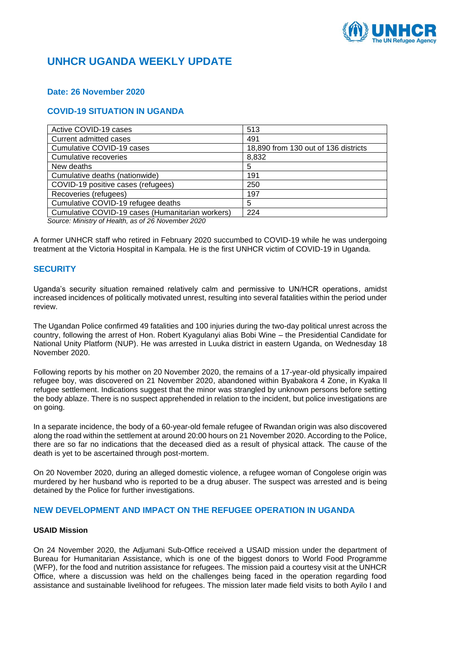

# **UNHCR UGANDA WEEKLY UPDATE**

## **Date: 26 November 2020**

# **COVID-19 SITUATION IN UGANDA**

| Active COVID-19 cases                            | 513                                  |
|--------------------------------------------------|--------------------------------------|
| Current admitted cases                           | 491                                  |
| Cumulative COVID-19 cases                        | 18,890 from 130 out of 136 districts |
| Cumulative recoveries                            | 8,832                                |
| New deaths                                       | 5                                    |
| Cumulative deaths (nationwide)                   | 191                                  |
| COVID-19 positive cases (refugees)               | 250                                  |
| Recoveries (refugees)                            | 197                                  |
| Cumulative COVID-19 refugee deaths               | 5                                    |
| Cumulative COVID-19 cases (Humanitarian workers) | 224                                  |

*Source: Ministry of Health, as of 26 November 2020*

A former UNHCR staff who retired in February 2020 succumbed to COVID-19 while he was undergoing treatment at the Victoria Hospital in Kampala. He is the first UNHCR victim of COVID-19 in Uganda.

## **SECURITY**

Uganda's security situation remained relatively calm and permissive to UN/HCR operations, amidst increased incidences of politically motivated unrest, resulting into several fatalities within the period under review.

The Ugandan Police confirmed 49 fatalities and 100 injuries during the two-day political unrest across the country, following the arrest of Hon. Robert Kyagulanyi alias Bobi Wine – the Presidential Candidate for National Unity Platform (NUP). He was arrested in Luuka district in eastern Uganda, on Wednesday 18 November 2020.

Following reports by his mother on 20 November 2020, the remains of a 17-year-old physically impaired refugee boy, was discovered on 21 November 2020, abandoned within Byabakora 4 Zone, in Kyaka II refugee settlement. Indications suggest that the minor was strangled by unknown persons before setting the body ablaze. There is no suspect apprehended in relation to the incident, but police investigations are on going.

In a separate incidence, the body of a 60-year-old female refugee of Rwandan origin was also discovered along the road within the settlement at around 20:00 hours on 21 November 2020. According to the Police, there are so far no indications that the deceased died as a result of physical attack. The cause of the death is yet to be ascertained through post-mortem.

On 20 November 2020, during an alleged domestic violence, a refugee woman of Congolese origin was murdered by her husband who is reported to be a drug abuser. The suspect was arrested and is being detained by the Police for further investigations.

## **NEW DEVELOPMENT AND IMPACT ON THE REFUGEE OPERATION IN UGANDA**

## **USAID Mission**

On 24 November 2020, the Adjumani Sub-Office received a USAID mission under the department of Bureau for Humanitarian Assistance, which is one of the biggest donors to World Food Programme (WFP), for the food and nutrition assistance for refugees. The mission paid a courtesy visit at the UNHCR Office, where a discussion was held on the challenges being faced in the operation regarding food assistance and sustainable livelihood for refugees. The mission later made field visits to both Ayilo I and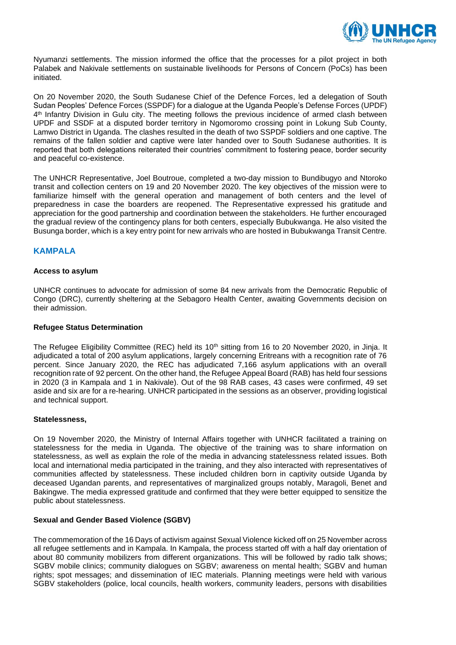

Nyumanzi settlements. The mission informed the office that the processes for a pilot project in both Palabek and Nakivale settlements on sustainable livelihoods for Persons of Concern (PoCs) has been initiated.

On 20 November 2020, the South Sudanese Chief of the Defence Forces, led a delegation of South Sudan Peoples' Defence Forces (SSPDF) for a dialogue at the Uganda People's Defense Forces (UPDF) 4 th Infantry Division in Gulu city. The meeting follows the previous incidence of armed clash between UPDF and SSDF at a disputed border territory in Ngomoromo crossing point in Lokung Sub County, Lamwo District in Uganda. The clashes resulted in the death of two SSPDF soldiers and one captive. The remains of the fallen soldier and captive were later handed over to South Sudanese authorities. It is reported that both delegations reiterated their countries' commitment to fostering peace, border security and peaceful co-existence.

The UNHCR Representative, Joel Boutroue, completed a two-day mission to Bundibugyo and Ntoroko transit and collection centers on 19 and 20 November 2020. The key objectives of the mission were to familiarize himself with the general operation and management of both centers and the level of preparedness in case the boarders are reopened. The Representative expressed his gratitude and appreciation for the good partnership and coordination between the stakeholders. He further encouraged the gradual review of the contingency plans for both centers, especially Bubukwanga. He also visited the Busunga border, which is a key entry point for new arrivals who are hosted in Bubukwanga Transit Centre.

## **KAMPALA**

## **Access to asylum**

UNHCR continues to advocate for admission of some 84 new arrivals from the Democratic Republic of Congo (DRC), currently sheltering at the Sebagoro Health Center, awaiting Governments decision on their admission.

## **Refugee Status Determination**

The Refugee Eligibility Committee (REC) held its 10<sup>th</sup> sitting from 16 to 20 November 2020, in Jinja. It adjudicated a total of 200 asylum applications, largely concerning Eritreans with a recognition rate of 76 percent. Since January 2020, the REC has adjudicated 7,166 asylum applications with an overall recognition rate of 92 percent. On the other hand, the Refugee Appeal Board (RAB) has held four sessions in 2020 (3 in Kampala and 1 in Nakivale). Out of the 98 RAB cases, 43 cases were confirmed, 49 set aside and six are for a re-hearing. UNHCR participated in the sessions as an observer, providing logistical and technical support.

#### **Statelessness,**

On 19 November 2020, the Ministry of Internal Affairs together with UNHCR facilitated a training on statelessness for the media in Uganda. The objective of the training was to share information on statelessness, as well as explain the role of the media in advancing statelessness related issues. Both local and international media participated in the training, and they also interacted with representatives of communities affected by statelessness. These included children born in captivity outside Uganda by deceased Ugandan parents, and representatives of marginalized groups notably, Maragoli, Benet and Bakingwe. The media expressed gratitude and confirmed that they were better equipped to sensitize the public about statelessness.

## **Sexual and Gender Based Violence (SGBV)**

The commemoration of the 16 Days of activism against Sexual Violence kicked off on 25 November across all refugee settlements and in Kampala. In Kampala, the process started off with a half day orientation of about 80 community mobilizers from different organizations. This will be followed by radio talk shows; SGBV mobile clinics; community dialogues on SGBV; awareness on mental health; SGBV and human rights; spot messages; and dissemination of IEC materials. Planning meetings were held with various SGBV stakeholders (police, local councils, health workers, community leaders, persons with disabilities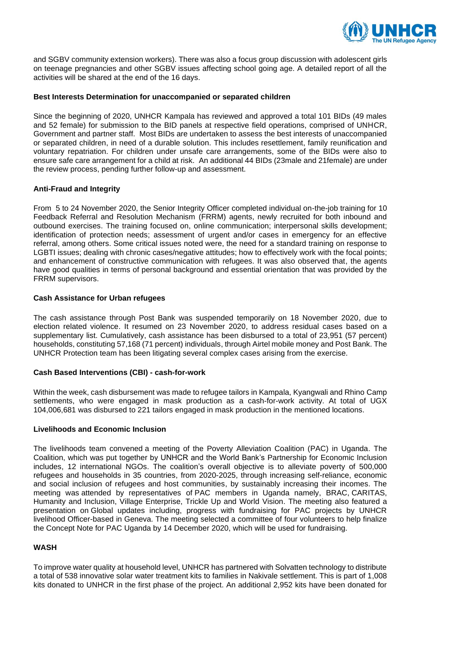

and SGBV community extension workers). There was also a focus group discussion with adolescent girls on teenage pregnancies and other SGBV issues affecting school going age. A detailed report of all the activities will be shared at the end of the 16 days.

## **Best Interests Determination for unaccompanied or separated children**

Since the beginning of 2020, UNHCR Kampala has reviewed and approved a total 101 BIDs (49 males and 52 female) for submission to the BID panels at respective field operations, comprised of UNHCR, Government and partner staff. Most BIDs are undertaken to assess the best interests of unaccompanied or separated children, in need of a durable solution. This includes resettlement, family reunification and voluntary repatriation. For children under unsafe care arrangements, some of the BIDs were also to ensure safe care arrangement for a child at risk. An additional 44 BIDs (23male and 21female) are under the review process, pending further follow-up and assessment.

## **Anti-Fraud and Integrity**

From 5 to 24 November 2020, the Senior Integrity Officer completed individual on-the-job training for 10 Feedback Referral and Resolution Mechanism (FRRM) agents, newly recruited for both inbound and outbound exercises. The training focused on, online communication; interpersonal skills development; identification of protection needs; assessment of urgent and/or cases in emergency for an effective referral, among others. Some critical issues noted were, the need for a standard training on response to LGBTI issues; dealing with chronic cases/negative attitudes; how to effectively work with the focal points; and enhancement of constructive communication with refugees. It was also observed that, the agents have good qualities in terms of personal background and essential orientation that was provided by the FRRM supervisors.

## **Cash Assistance for Urban refugees**

The cash assistance through Post Bank was suspended temporarily on 18 November 2020, due to election related violence. It resumed on 23 November 2020, to address residual cases based on a supplementary list. Cumulatively, cash assistance has been disbursed to a total of 23,951 (57 percent) households, constituting 57,168 (71 percent) individuals, through Airtel mobile money and Post Bank. The UNHCR Protection team has been litigating several complex cases arising from the exercise.

## **Cash Based Interventions (CBI) - cash-for-work**

Within the week, cash disbursement was made to refugee tailors in Kampala, Kyangwali and Rhino Camp settlements, who were engaged in mask production as a cash-for-work activity. At total of UGX 104,006,681 was disbursed to 221 tailors engaged in mask production in the mentioned locations.

## **Livelihoods and Economic Inclusion**

The livelihoods team convened a meeting of the Poverty Alleviation Coalition (PAC) in Uganda. The Coalition, which was put together by UNHCR and the World Bank's Partnership for Economic Inclusion includes, 12 international NGOs. The coalition's overall objective is to alleviate poverty of 500,000 refugees and households in 35 countries, from 2020-2025, through increasing self-reliance, economic and social inclusion of refugees and host communities, by sustainably increasing their incomes. The meeting was attended by representatives of PAC members in Uganda namely, BRAC, CARITAS, Humanity and Inclusion, Village Enterprise, Trickle Up and World Vision. The meeting also featured a presentation on Global updates including, progress with fundraising for PAC projects by UNHCR livelihood Officer-based in Geneva. The meeting selected a committee of four volunteers to help finalize the Concept Note for PAC Uganda by 14 December 2020, which will be used for fundraising.

## **WASH**

To improve water quality at household level, UNHCR has partnered with Solvatten technology to distribute a total of 538 innovative solar water treatment kits to families in Nakivale settlement. This is part of 1,008 kits donated to UNHCR in the first phase of the project. An additional 2,952 kits have been donated for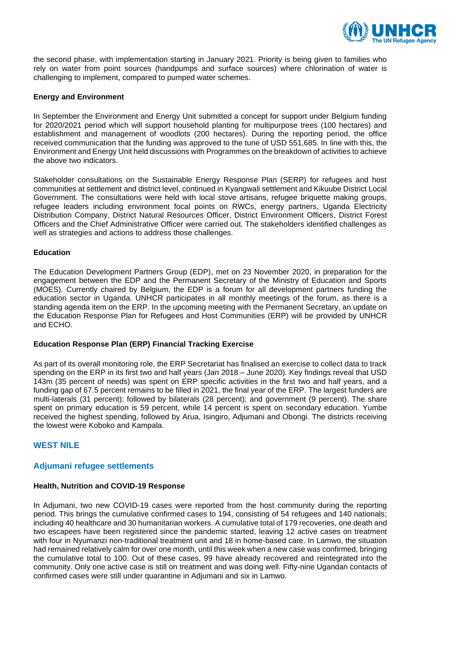

the second phase, with implementation starting in January 2021. Priority is being given to families who rely on water from point sources (handpumps and surface sources) where chlorination of water is challenging to implement, compared to pumped water schemes.

## **Energy and Environment**

In September the Environment and Energy Unit submitted a concept for support under Belgium funding for 2020/2021 period which will support household planting for multipurpose trees (100 hectares) and establishment and management of woodlots (200 hectares). During the reporting period, the office received communication that the funding was approved to the tune of USD 551,685. In line with this, the Environment and Energy Unit held discussions with Programmes on the breakdown of activities to achieve the above two indicators.

Stakeholder consultations on the Sustainable Energy Response Plan (SERP) for refugees and host communities at settlement and district level, continued in Kyangwali settlement and Kikuube District Local Government. The consultations were held with local stove artisans, refugee briquette making groups, refugee leaders including environment focal points on RWCs, energy partners, Uganda Electricity Distribution Company, District Natural Resources Officer, District Environment Officers, District Forest Officers and the Chief Administrative Officer were carried out. The stakeholders identified challenges as well as strategies and actions to address those challenges.

## **Education**

The Education Development Partners Group (EDP), met on 23 November 2020, in preparation for the engagement between the EDP and the Permanent Secretary of the Ministry of Education and Sports (MOES). Currently chaired by Belgium, the EDP is a forum for all development partners funding the education sector in Uganda. UNHCR participates in all monthly meetings of the forum, as there is a standing agenda item on the ERP. In the upcoming meeting with the Permanent Secretary, an update on the Education Response Plan for Refugees and Host Communities (ERP) will be provided by UNHCR and ECHO.

## **Education Response Plan (ERP) Financial Tracking Exercise**

As part of its overall monitoring role, the ERP Secretariat has finalised an exercise to collect data to track spending on the ERP in its first two and half years (Jan 2018 – June 2020). Key findings reveal that USD 143m (35 percent of needs) was spent on ERP specific activities in the first two and half years, and a funding gap of 67.5 percent remains to be filled in 2021, the final year of the ERP. The largest funders are multi-laterals (31 percent); followed by bilaterals (28 percent); and government (9 percent). The share spent on primary education is 59 percent, while 14 percent is spent on secondary education. Yumbe received the highest spending, followed by Arua, Isingiro, Adjumani and Obongi. The districts receiving the lowest were Koboko and Kampala.

# **WEST NILE**

## **Adjumani refugee settlements**

## **Health, Nutrition and COVID-19 Response**

In Adjumani, two new COVID-19 cases were reported from the host community during the reporting period. This brings the cumulative confirmed cases to 194, consisting of 54 refugees and 140 nationals; including 40 healthcare and 30 humanitarian workers. A cumulative total of 179 recoveries, one death and two escapees have been registered since the pandemic started, leaving 12 active cases on treatment with four in Nyumanzi non-traditional treatment unit and 18 in home-based care. In Lamwo, the situation had remained relatively calm for over one month, until this week when a new case was confirmed, bringing the cumulative total to 100. Out of these cases, 99 have already recovered and reintegrated into the community. Only one active case is still on treatment and was doing well. Fifty-nine Ugandan contacts of confirmed cases were still under quarantine in Adjumani and six in Lamwo.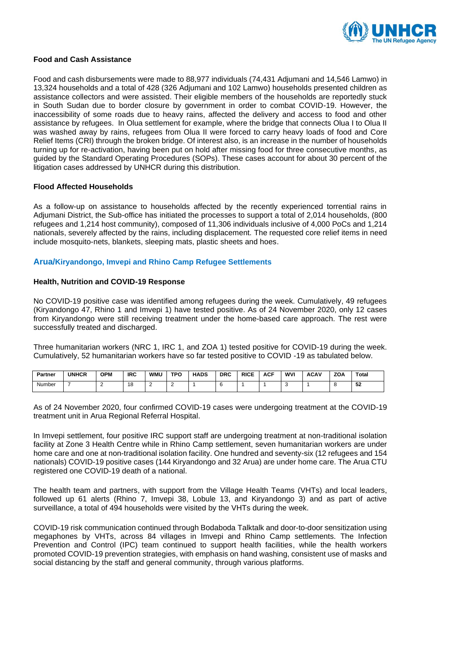

## **Food and Cash Assistance**

Food and cash disbursements were made to 88,977 individuals (74,431 Adjumani and 14,546 Lamwo) in 13,324 households and a total of 428 (326 Adjumani and 102 Lamwo) households presented children as assistance collectors and were assisted. Their eligible members of the households are reportedly stuck in South Sudan due to border closure by government in order to combat COVID-19. However, the inaccessibility of some roads due to heavy rains, affected the delivery and access to food and other assistance by refugees. In Olua settlement for example, where the bridge that connects Olua I to Olua II was washed away by rains, refugees from Olua II were forced to carry heavy loads of food and Core Relief Items (CRI) through the broken bridge. Of interest also, is an increase in the number of households turning up for re-activation, having been put on hold after missing food for three consecutive months, as guided by the Standard Operating Procedures (SOPs). These cases account for about 30 percent of the litigation cases addressed by UNHCR during this distribution.

## **Flood Affected Households**

As a follow-up on assistance to households affected by the recently experienced torrential rains in Adjumani District, the Sub-office has initiated the processes to support a total of 2,014 households, (800 refugees and 1,214 host community), composed of 11,306 individuals inclusive of 4,000 PoCs and 1,214 nationals, severely affected by the rains, including displacement. The requested core relief items in need include mosquito-nets, blankets, sleeping mats, plastic sheets and hoes.

## **Arua/Kiryandongo, Imvepi and Rhino Camp Refugee Settlements**

#### **Health, Nutrition and COVID-19 Response**

No COVID-19 positive case was identified among refugees during the week. Cumulatively, 49 refugees (Kiryandongo 47, Rhino 1 and Imvepi 1) have tested positive. As of 24 November 2020, only 12 cases from Kiryandongo were still receiving treatment under the home-based care approach. The rest were successfully treated and discharged.

Three humanitarian workers (NRC 1, IRC 1, and ZOA 1) tested positive for COVID-19 during the week. Cumulatively, 52 humanitarian workers have so far tested positive to COVID -19 as tabulated below.

| Partner | <b>UNHCR</b> | <b>OPM</b> | <b>IRC</b>           | <b>WMU</b> | <b>TPO</b> | <b>HADS</b> | <b>DRC</b> | <b>RICE</b> | <b>ACF</b> | <b>WVI</b> | <b>ACAV</b> | ZOA | Total    |
|---------|--------------|------------|----------------------|------------|------------|-------------|------------|-------------|------------|------------|-------------|-----|----------|
| Number  |              |            | $\overline{40}$<br>ັ |            |            |             |            |             |            |            |             |     | Б9<br>υZ |

As of 24 November 2020, four confirmed COVID-19 cases were undergoing treatment at the COVID-19 treatment unit in Arua Regional Referral Hospital.

In Imvepi settlement, four positive IRC support staff are undergoing treatment at non-traditional isolation facility at Zone 3 Health Centre while in Rhino Camp settlement, seven humanitarian workers are under home care and one at non-traditional isolation facility. One hundred and seventy-six (12 refugees and 154 nationals) COVID-19 positive cases (144 Kiryandongo and 32 Arua) are under home care. The Arua CTU registered one COVID-19 death of a national.

The health team and partners, with support from the Village Health Teams (VHTs) and local leaders, followed up 61 alerts (Rhino 7, Imvepi 38, Lobule 13, and Kiryandongo 3) and as part of active surveillance, a total of 494 households were visited by the VHTs during the week.

COVID-19 risk communication continued through Bodaboda Talktalk and door-to-door sensitization using megaphones by VHTs, across 84 villages in Imvepi and Rhino Camp settlements. The Infection Prevention and Control (IPC) team continued to support health facilities, while the health workers promoted COVID-19 prevention strategies, with emphasis on hand washing, consistent use of masks and social distancing by the staff and general community, through various platforms.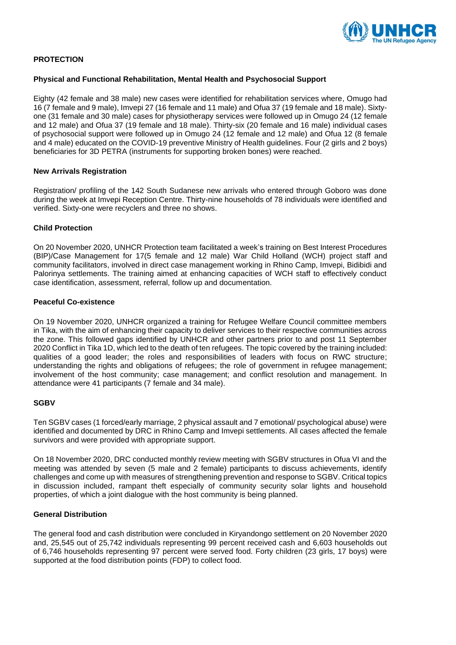

## **PROTECTION**

## **Physical and Functional Rehabilitation, Mental Health and Psychosocial Support**

Eighty (42 female and 38 male) new cases were identified for rehabilitation services where, Omugo had 16 (7 female and 9 male), Imvepi 27 (16 female and 11 male) and Ofua 37 (19 female and 18 male). Sixtyone (31 female and 30 male) cases for physiotherapy services were followed up in Omugo 24 (12 female and 12 male) and Ofua 37 (19 female and 18 male). Thirty-six (20 female and 16 male) individual cases of psychosocial support were followed up in Omugo 24 (12 female and 12 male) and Ofua 12 (8 female and 4 male) educated on the COVID-19 preventive Ministry of Health guidelines. Four (2 girls and 2 boys) beneficiaries for 3D PETRA (instruments for supporting broken bones) were reached.

## **New Arrivals Registration**

Registration/ profiling of the 142 South Sudanese new arrivals who entered through Goboro was done during the week at Imvepi Reception Centre. Thirty-nine households of 78 individuals were identified and verified. Sixty-one were recyclers and three no shows.

## **Child Protection**

On 20 November 2020, UNHCR Protection team facilitated a week's training on Best Interest Procedures (BIP)/Case Management for 17(5 female and 12 male) War Child Holland (WCH) project staff and community facilitators, involved in direct case management working in Rhino Camp, Imvepi, Bidibidi and Palorinya settlements. The training aimed at enhancing capacities of WCH staff to effectively conduct case identification, assessment, referral, follow up and documentation.

## **Peaceful Co-existence**

On 19 November 2020, UNHCR organized a training for Refugee Welfare Council committee members in Tika, with the aim of enhancing their capacity to deliver services to their respective communities across the zone. This followed gaps identified by UNHCR and other partners prior to and post 11 September 2020 Conflict in Tika 1D, which led to the death of ten refugees. The topic covered by the training included: qualities of a good leader; the roles and responsibilities of leaders with focus on RWC structure; understanding the rights and obligations of refugees; the role of government in refugee management; involvement of the host community; case management; and conflict resolution and management. In attendance were 41 participants (7 female and 34 male).

## **SGBV**

Ten SGBV cases (1 forced/early marriage, 2 physical assault and 7 emotional/ psychological abuse) were identified and documented by DRC in Rhino Camp and Imvepi settlements. All cases affected the female survivors and were provided with appropriate support.

On 18 November 2020, DRC conducted monthly review meeting with SGBV structures in Ofua VI and the meeting was attended by seven (5 male and 2 female) participants to discuss achievements, identify challenges and come up with measures of strengthening prevention and response to SGBV. Critical topics in discussion included, rampant theft especially of community security solar lights and household properties, of which a joint dialogue with the host community is being planned.

## **General Distribution**

The general food and cash distribution were concluded in Kiryandongo settlement on 20 November 2020 and, 25,545 out of 25,742 individuals representing 99 percent received cash and 6,603 households out of 6,746 households representing 97 percent were served food. Forty children (23 girls, 17 boys) were supported at the food distribution points (FDP) to collect food.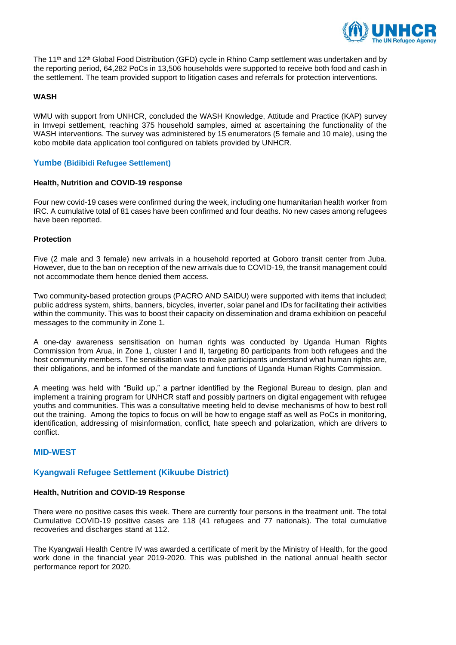

The 11<sup>th</sup> and 12<sup>th</sup> Global Food Distribution (GFD) cycle in Rhino Camp settlement was undertaken and by the reporting period, 64,282 PoCs in 13,506 households were supported to receive both food and cash in the settlement. The team provided support to litigation cases and referrals for protection interventions.

## **WASH**

WMU with support from UNHCR, concluded the WASH Knowledge, Attitude and Practice (KAP) survey in Imvepi settlement, reaching 375 household samples, aimed at ascertaining the functionality of the WASH interventions. The survey was administered by 15 enumerators (5 female and 10 male), using the kobo mobile data application tool configured on tablets provided by UNHCR.

## **Yumbe (Bidibidi Refugee Settlement)**

## **Health, Nutrition and COVID-19 response**

Four new covid-19 cases were confirmed during the week, including one humanitarian health worker from IRC. A cumulative total of 81 cases have been confirmed and four deaths. No new cases among refugees have been reported.

## **Protection**

Five (2 male and 3 female) new arrivals in a household reported at Goboro transit center from Juba. However, due to the ban on reception of the new arrivals due to COVID-19, the transit management could not accommodate them hence denied them access.

Two community-based protection groups (PACRO AND SAIDU) were supported with items that included; public address system, shirts, banners, bicycles, inverter, solar panel and IDs for facilitating their activities within the community. This was to boost their capacity on dissemination and drama exhibition on peaceful messages to the community in Zone 1.

A one-day awareness sensitisation on human rights was conducted by Uganda Human Rights Commission from Arua, in Zone 1, cluster I and II, targeting 80 participants from both refugees and the host community members. The sensitisation was to make participants understand what human rights are, their obligations, and be informed of the mandate and functions of Uganda Human Rights Commission.

A meeting was held with "Build up," a partner identified by the Regional Bureau to design, plan and implement a training program for UNHCR staff and possibly partners on digital engagement with refugee youths and communities. This was a consultative meeting held to devise mechanisms of how to best roll out the training. Among the topics to focus on will be how to engage staff as well as PoCs in monitoring, identification, addressing of misinformation, conflict, hate speech and polarization, which are drivers to conflict.

## **MID-WEST**

## **Kyangwali Refugee Settlement (Kikuube District)**

## **Health, Nutrition and COVID-19 Response**

There were no positive cases this week. There are currently four persons in the treatment unit. The total Cumulative COVID-19 positive cases are 118 (41 refugees and 77 nationals). The total cumulative recoveries and discharges stand at 112.

The Kyangwali Health Centre IV was awarded a certificate of merit by the Ministry of Health, for the good work done in the financial year 2019-2020. This was published in the national annual health sector performance report for 2020.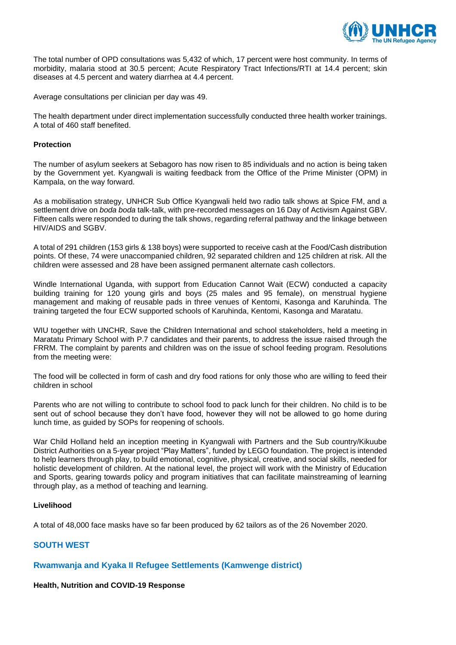

The total number of OPD consultations was 5,432 of which, 17 percent were host community. In terms of morbidity, malaria stood at 30.5 percent; Acute Respiratory Tract Infections/RTI at 14.4 percent; skin diseases at 4.5 percent and watery diarrhea at 4.4 percent.

Average consultations per clinician per day was 49.

The health department under direct implementation successfully conducted three health worker trainings. A total of 460 staff benefited.

## **Protection**

The number of asylum seekers at Sebagoro has now risen to 85 individuals and no action is being taken by the Government yet. Kyangwali is waiting feedback from the Office of the Prime Minister (OPM) in Kampala, on the way forward.

As a mobilisation strategy, UNHCR Sub Office Kyangwali held two radio talk shows at Spice FM, and a settlement drive on *boda boda* talk-talk, with pre-recorded messages on 16 Day of Activism Against GBV. Fifteen calls were responded to during the talk shows, regarding referral pathway and the linkage between HIV/AIDS and SGBV.

A total of 291 children (153 girls & 138 boys) were supported to receive cash at the Food/Cash distribution points. Of these, 74 were unaccompanied children, 92 separated children and 125 children at risk. All the children were assessed and 28 have been assigned permanent alternate cash collectors.

Windle International Uganda, with support from Education Cannot Wait (ECW) conducted a capacity building training for 120 young girls and boys (25 males and 95 female), on menstrual hygiene management and making of reusable pads in three venues of Kentomi, Kasonga and Karuhinda. The training targeted the four ECW supported schools of Karuhinda, Kentomi, Kasonga and Maratatu.

WIU together with UNCHR, Save the Children International and school stakeholders, held a meeting in Maratatu Primary School with P.7 candidates and their parents, to address the issue raised through the FRRM. The complaint by parents and children was on the issue of school feeding program. Resolutions from the meeting were:

The food will be collected in form of cash and dry food rations for only those who are willing to feed their children in school

Parents who are not willing to contribute to school food to pack lunch for their children. No child is to be sent out of school because they don't have food, however they will not be allowed to go home during lunch time, as guided by SOPs for reopening of schools.

War Child Holland held an inception meeting in Kyangwali with Partners and the Sub country/Kikuube District Authorities on a 5-year project "Play Matters", funded by LEGO foundation. The project is intended to help learners through play, to build emotional, cognitive, physical, creative, and social skills, needed for holistic development of children. At the national level, the project will work with the Ministry of Education and Sports, gearing towards policy and program initiatives that can facilitate mainstreaming of learning through play, as a method of teaching and learning.

## **Livelihood**

A total of 48,000 face masks have so far been produced by 62 tailors as of the 26 November 2020.

# **SOUTH WEST**

## **Rwamwanja and Kyaka II Refugee Settlements (Kamwenge district)**

## **Health, Nutrition and COVID-19 Response**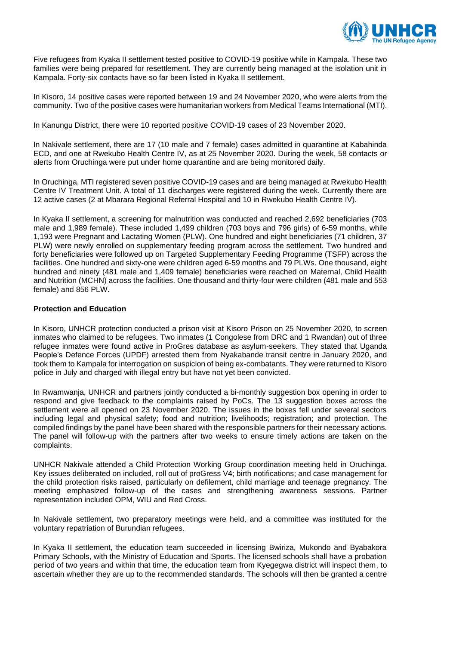

Five refugees from Kyaka II settlement tested positive to COVID-19 positive while in Kampala. These two families were being prepared for resettlement. They are currently being managed at the isolation unit in Kampala. Forty-six contacts have so far been listed in Kyaka II settlement.

In Kisoro, 14 positive cases were reported between 19 and 24 November 2020, who were alerts from the community. Two of the positive cases were humanitarian workers from Medical Teams International (MTI).

In Kanungu District, there were 10 reported positive COVID-19 cases of 23 November 2020.

In Nakivale settlement, there are 17 (10 male and 7 female) cases admitted in quarantine at Kabahinda ECD, and one at Rwekubo Health Centre IV, as at 25 November 2020. During the week, 58 contacts or alerts from Oruchinga were put under home quarantine and are being monitored daily.

In Oruchinga, MTI registered seven positive COVID-19 cases and are being managed at Rwekubo Health Centre IV Treatment Unit. A total of 11 discharges were registered during the week. Currently there are 12 active cases (2 at Mbarara Regional Referral Hospital and 10 in Rwekubo Health Centre IV).

In Kyaka II settlement, a screening for malnutrition was conducted and reached 2,692 beneficiaries (703 male and 1,989 female). These included 1,499 children (703 boys and 796 girls) of 6-59 months, while 1,193 were Pregnant and Lactating Women (PLW). One hundred and eight beneficiaries (71 children, 37 PLW) were newly enrolled on supplementary feeding program across the settlement. Two hundred and forty beneficiaries were followed up on Targeted Supplementary Feeding Programme (TSFP) across the facilities. One hundred and sixty-one were children aged 6-59 months and 79 PLWs. One thousand, eight hundred and ninety (481 male and 1,409 female) beneficiaries were reached on Maternal, Child Health and Nutrition (MCHN) across the facilities. One thousand and thirty-four were children (481 male and 553 female) and 856 PLW.

## **Protection and Education**

In Kisoro, UNHCR protection conducted a prison visit at Kisoro Prison on 25 November 2020, to screen inmates who claimed to be refugees. Two inmates (1 Congolese from DRC and 1 Rwandan) out of three refugee inmates were found active in ProGres database as asylum-seekers. They stated that Uganda People's Defence Forces (UPDF) arrested them from Nyakabande transit centre in January 2020, and took them to Kampala for interrogation on suspicion of being ex-combatants. They were returned to Kisoro police in July and charged with illegal entry but have not yet been convicted.

In Rwamwanja, UNHCR and partners jointly conducted a bi-monthly suggestion box opening in order to respond and give feedback to the complaints raised by PoCs. The 13 suggestion boxes across the settlement were all opened on 23 November 2020. The issues in the boxes fell under several sectors including legal and physical safety; food and nutrition; livelihoods; registration; and protection. The compiled findings by the panel have been shared with the responsible partners for their necessary actions. The panel will follow-up with the partners after two weeks to ensure timely actions are taken on the complaints.

UNHCR Nakivale attended a Child Protection Working Group coordination meeting held in Oruchinga. Key issues deliberated on included, roll out of proGress V4; birth notifications; and case management for the child protection risks raised, particularly on defilement, child marriage and teenage pregnancy. The meeting emphasized follow-up of the cases and strengthening awareness sessions. Partner representation included OPM, WIU and Red Cross.

In Nakivale settlement, two preparatory meetings were held, and a committee was instituted for the voluntary repatriation of Burundian refugees.

In Kyaka II settlement, the education team succeeded in licensing Bwiriza, Mukondo and Byabakora Primary Schools, with the Ministry of Education and Sports. The licensed schools shall have a probation period of two years and within that time, the education team from Kyegegwa district will inspect them, to ascertain whether they are up to the recommended standards. The schools will then be granted a centre